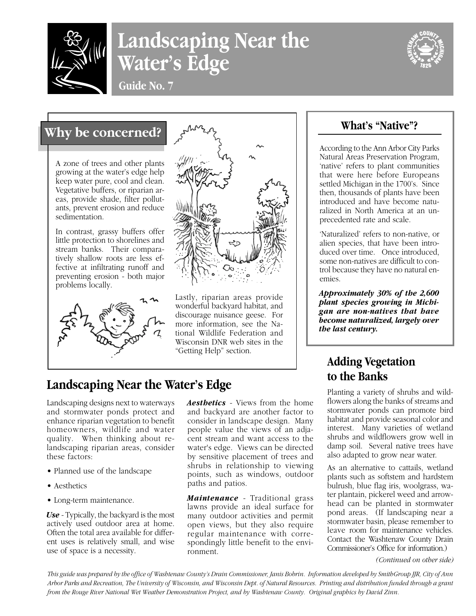

# **Landscaping Near the Water's Edge**



**Guide No. 7**

## **Why be concerned?**

A zone of trees and other plants growing at the water's edge help keep water pure, cool and clean. Vegetative buffers, or riparian areas, provide shade, filter pollutants, prevent erosion and reduce sedimentation.

In contrast, grassy buffers offer little protection to shorelines and stream banks. Their comparatively shallow roots are less effective at infiltrating runoff and preventing erosion - both major problems locally.





Lastly, riparian areas provide wonderful backyard habitat, and discourage nuisance geese. For more information, see the National Wildlife Federation and Wisconsin DNR web sites in the "Getting Help" section.

# **Landscaping Near the Water's Edge**

Landscaping designs next to waterways and stormwater ponds protect and enhance riparian vegetation to benefit homeowners, wildlife and water quality. When thinking about relandscaping riparian areas, consider these factors:

- Planned use of the landscape
- Aesthetics
- Long-term maintenance.

*Use* - Typically, the backyard is the most actively used outdoor area at home. Often the total area available for different uses is relatively small, and wise use of space is a necessity.

*Aesthetics* - Views from the home and backyard are another factor to consider in landscape design. Many people value the views of an adjacent stream and want access to the water's edge. Views can be directed by sensitive placement of trees and shrubs in relationship to viewing points, such as windows, outdoor paths and patios.

*Maintenance* - Traditional grass lawns provide an ideal surface for many outdoor activities and permit open views, but they also require regular maintenance with correspondingly little benefit to the environment.

### **What's "Native"?**

According to the Ann Arbor City Parks Natural Areas Preservation Program, 'native' refers to plant communities that were here before Europeans settled Michigan in the 1700's. Since then, thousands of plants have been introduced and have become naturalized in North America at an unprecedented rate and scale.

'Naturalized' refers to non-native, or alien species, that have been introduced over time. Once introduced, some non-natives are difficult to control because they have no natural enemies.

*Approximately 30% of the 2,600 plant species growing in Michigan are non-natives that have become naturalized, largely over the last century.*

### **Adding Vegetation to the Banks**

Planting a variety of shrubs and wildflowers along the banks of streams and stormwater ponds can promote bird habitat and provide seasonal color and interest. Many varieties of wetland shrubs and wildflowers grow well in damp soil. Several native trees have also adapted to grow near water.

As an alternative to cattails, wetland plants such as softstem and hardstem bulrush, blue flag iris, woolgrass, water plantain, pickerel weed and arrowhead can be planted in stormwater pond areas. (If landscaping near a stormwater basin, please remember to leave room for maintenance vehicles. Contact the Washtenaw County Drain Commissioner's Office for information.)

*(Continued on other side)*

*This guide was prepared by the office of Washtenaw County's Drain Commissioner, Janis Bobrin. Information developed by SmithGroup JJR, City of Ann Arbor Parks and Recreation, The University of Wisconsin, and Wisconsin Dept. of Natural Resources. Printing and distribution funded through a grant from the Rouge River National Wet Weather Demonstration Project, and by Washtenaw County. Original graphics by David Zinn.*